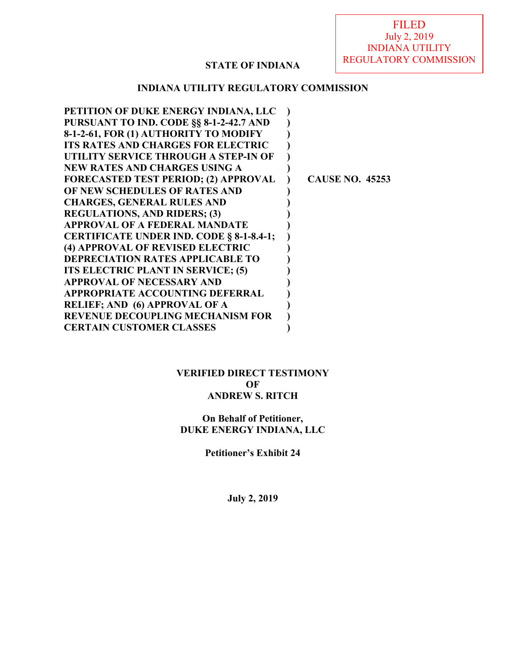# **STATE OF INDIANA**

### **INDIANA UTILITY REGULATORY COMMISSION**

| PETITION OF DUKE ENERGY INDIANA, LLC            |                        |
|-------------------------------------------------|------------------------|
| PURSUANT TO IND. CODE §§ 8-1-2-42.7 AND         |                        |
| 8-1-2-61, FOR (1) AUTHORITY TO MODIFY           |                        |
| <b>ITS RATES AND CHARGES FOR ELECTRIC</b>       |                        |
| UTILITY SERVICE THROUGH A STEP-IN OF            |                        |
| <b>NEW RATES AND CHARGES USING A</b>            |                        |
| <b>FORECASTED TEST PERIOD; (2) APPROVAL</b>     | <b>CAUSE NO. 45253</b> |
| OF NEW SCHEDULES OF RATES AND                   |                        |
| <b>CHARGES, GENERAL RULES AND</b>               |                        |
| <b>REGULATIONS, AND RIDERS; (3)</b>             |                        |
| <b>APPROVAL OF A FEDERAL MANDATE</b>            |                        |
| <b>CERTIFICATE UNDER IND. CODE § 8-1-8.4-1;</b> |                        |
| (4) APPROVAL OF REVISED ELECTRIC                |                        |
| <b>DEPRECIATION RATES APPLICABLE TO</b>         |                        |
| ITS ELECTRIC PLANT IN SERVICE; (5)              |                        |
| <b>APPROVAL OF NECESSARY AND</b>                |                        |
| <b>APPROPRIATE ACCOUNTING DEFERRAL</b>          |                        |
| <b>RELIEF; AND (6) APPROVAL OF A</b>            |                        |
| <b>REVENUE DECOUPLING MECHANISM FOR</b>         |                        |
| <b>CERTAIN CUSTOMER CLASSES</b>                 |                        |
|                                                 |                        |

**VERIFIED DIRECT TESTIMONY OF ANDREW S. RITCH**

**On Behalf of Petitioner, DUKE ENERGY INDIANA, LLC**

**Petitioner's Exhibit 24** 

**July 2, 2019**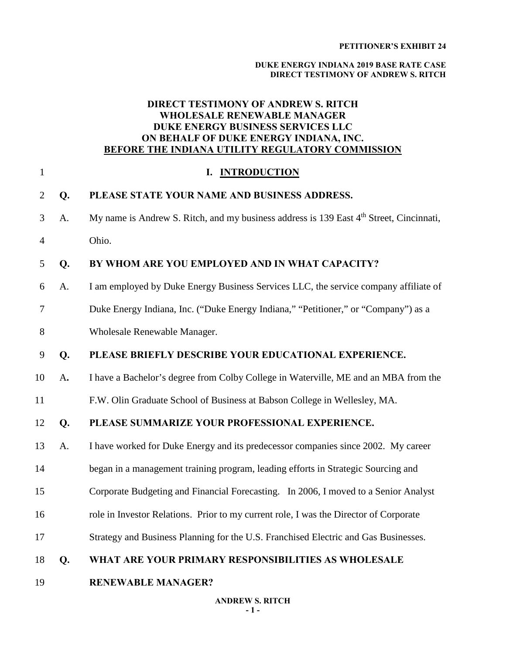#### **DUKE ENERGY INDIANA 2019 BASE RATE CASE DIRECT TESTIMONY OF ANDREW S. RITCH**

### **DIRECT TESTIMONY OF ANDREW S. RITCH WHOLESALE RENEWABLE MANAGER DUKE ENERGY BUSINESS SERVICES LLC ON BEHALF OF DUKE ENERGY INDIANA, INC. BEFORE THE INDIANA UTILITY REGULATORY COMMISSION**

| $\mathbf{1}$   |    | <b>INTRODUCTION</b><br>I.                                                                           |
|----------------|----|-----------------------------------------------------------------------------------------------------|
| $\overline{2}$ | Q. | PLEASE STATE YOUR NAME AND BUSINESS ADDRESS.                                                        |
| 3              | A. | My name is Andrew S. Ritch, and my business address is 139 East 4 <sup>th</sup> Street, Cincinnati, |
| $\overline{4}$ |    | Ohio.                                                                                               |
| 5              | Q. | BY WHOM ARE YOU EMPLOYED AND IN WHAT CAPACITY?                                                      |
| 6              | A. | I am employed by Duke Energy Business Services LLC, the service company affiliate of                |
| $\tau$         |    | Duke Energy Indiana, Inc. ("Duke Energy Indiana," "Petitioner," or "Company") as a                  |
| 8              |    | Wholesale Renewable Manager.                                                                        |
| 9              | Q. | PLEASE BRIEFLY DESCRIBE YOUR EDUCATIONAL EXPERIENCE.                                                |
| 10             | A. | I have a Bachelor's degree from Colby College in Waterville, ME and an MBA from the                 |
| 11             |    | F.W. Olin Graduate School of Business at Babson College in Wellesley, MA.                           |
| 12             | Q. | PLEASE SUMMARIZE YOUR PROFESSIONAL EXPERIENCE.                                                      |
| 13             | A. | I have worked for Duke Energy and its predecessor companies since 2002. My career                   |
| 14             |    | began in a management training program, leading efforts in Strategic Sourcing and                   |
| 15             |    | Corporate Budgeting and Financial Forecasting. In 2006, I moved to a Senior Analyst                 |
| 16             |    | role in Investor Relations. Prior to my current role, I was the Director of Corporate               |
| 17             |    | Strategy and Business Planning for the U.S. Franchised Electric and Gas Businesses.                 |
| 18             | Q. | WHAT ARE YOUR PRIMARY RESPONSIBILITIES AS WHOLESALE                                                 |
| 19             |    | <b>RENEWABLE MANAGER?</b>                                                                           |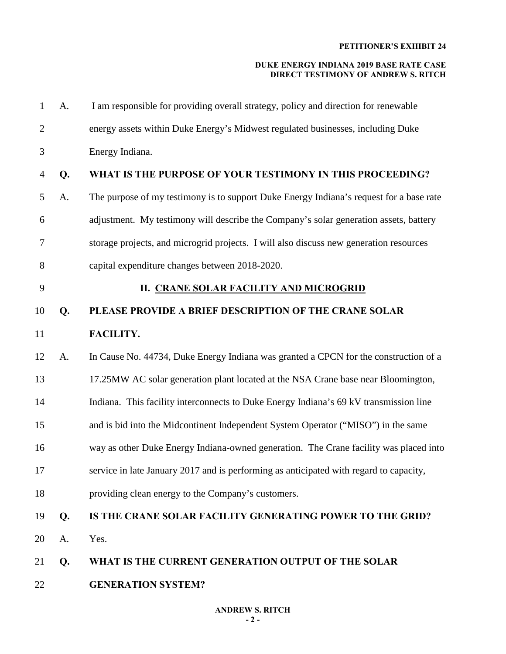| 1              | A. | I am responsible for providing overall strategy, policy and direction for renewable     |
|----------------|----|-----------------------------------------------------------------------------------------|
| $\overline{2}$ |    | energy assets within Duke Energy's Midwest regulated businesses, including Duke         |
| 3              |    | Energy Indiana.                                                                         |
| 4              | Q. | WHAT IS THE PURPOSE OF YOUR TESTIMONY IN THIS PROCEEDING?                               |
| 5              | A. | The purpose of my testimony is to support Duke Energy Indiana's request for a base rate |
| 6              |    | adjustment. My testimony will describe the Company's solar generation assets, battery   |
| 7              |    | storage projects, and microgrid projects. I will also discuss new generation resources  |
| 8              |    | capital expenditure changes between 2018-2020.                                          |
| 9              |    | <b>II. CRANE SOLAR FACILITY AND MICROGRID</b>                                           |
| 10             | Q. | PLEASE PROVIDE A BRIEF DESCRIPTION OF THE CRANE SOLAR                                   |
| 11             |    | FACILITY.                                                                               |
| 12             | A. | In Cause No. 44734, Duke Energy Indiana was granted a CPCN for the construction of a    |
| 13             |    | 17.25MW AC solar generation plant located at the NSA Crane base near Bloomington,       |
| 14             |    | Indiana. This facility interconnects to Duke Energy Indiana's 69 kV transmission line   |
| 15             |    | and is bid into the Midcontinent Independent System Operator ("MISO") in the same       |
| 16             |    | way as other Duke Energy Indiana-owned generation. The Crane facility was placed into   |
| 17             |    | service in late January 2017 and is performing as anticipated with regard to capacity,  |
| 18             |    | providing clean energy to the Company's customers.                                      |
| 19             | Q. | IS THE CRANE SOLAR FACILITY GENERATING POWER TO THE GRID?                               |
| 20             | A. | Yes.                                                                                    |
| 21             | Q. | WHAT IS THE CURRENT GENERATION OUTPUT OF THE SOLAR                                      |
| 22             |    | <b>GENERATION SYSTEM?</b>                                                               |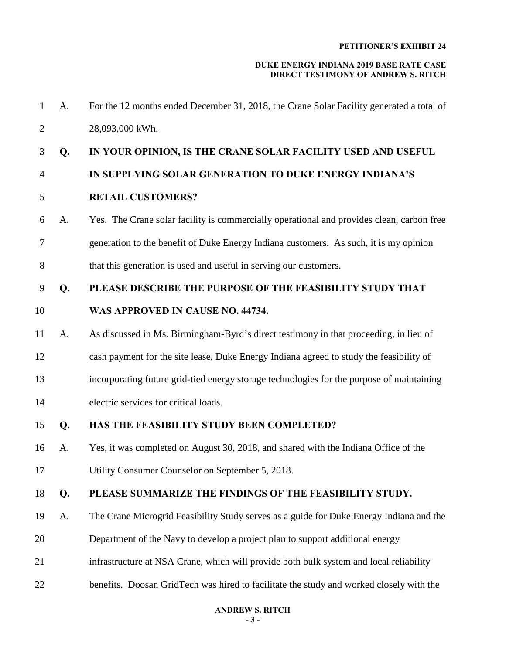| Q. | 28,093,000 kWh.                                                                           |
|----|-------------------------------------------------------------------------------------------|
|    |                                                                                           |
|    | IN YOUR OPINION, IS THE CRANE SOLAR FACILITY USED AND USEFUL                              |
|    | IN SUPPLYING SOLAR GENERATION TO DUKE ENERGY INDIANA'S                                    |
|    | <b>RETAIL CUSTOMERS?</b>                                                                  |
| A. | Yes. The Crane solar facility is commercially operational and provides clean, carbon free |
|    | generation to the benefit of Duke Energy Indiana customers. As such, it is my opinion     |
|    | that this generation is used and useful in serving our customers.                         |
| Q. | PLEASE DESCRIBE THE PURPOSE OF THE FEASIBILITY STUDY THAT                                 |
|    | WAS APPROVED IN CAUSE NO. 44734.                                                          |
| A. | As discussed in Ms. Birmingham-Byrd's direct testimony in that proceeding, in lieu of     |
|    | cash payment for the site lease, Duke Energy Indiana agreed to study the feasibility of   |
|    | incorporating future grid-tied energy storage technologies for the purpose of maintaining |
|    | electric services for critical loads.                                                     |
| Q. | HAS THE FEASIBILITY STUDY BEEN COMPLETED?                                                 |
| A. | Yes, it was completed on August 30, 2018, and shared with the Indiana Office of the       |
|    | Utility Consumer Counselor on September 5, 2018.                                          |
| Q. | PLEASE SUMMARIZE THE FINDINGS OF THE FEASIBILITY STUDY.                                   |
| A. | The Crane Microgrid Feasibility Study serves as a guide for Duke Energy Indiana and the   |
|    | Department of the Navy to develop a project plan to support additional energy             |
|    | infrastructure at NSA Crane, which will provide both bulk system and local reliability    |
|    | benefits. Doosan GridTech was hired to facilitate the study and worked closely with the   |
|    |                                                                                           |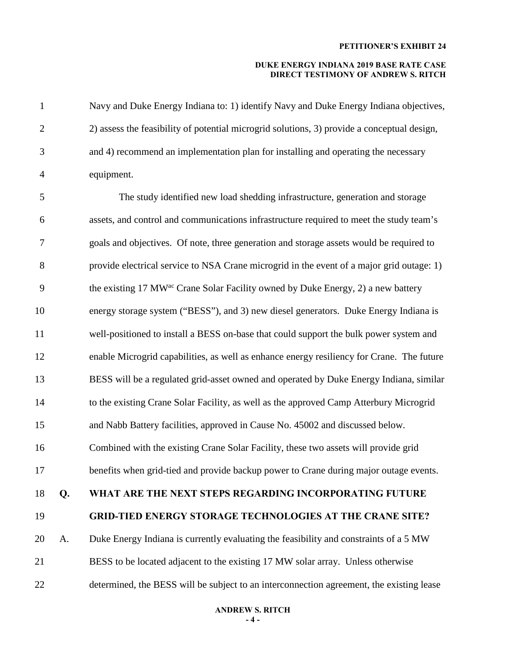| $\mathbf{1}$   |    | Navy and Duke Energy Indiana to: 1) identify Navy and Duke Energy Indiana objectives,        |
|----------------|----|----------------------------------------------------------------------------------------------|
| $\mathbf{2}$   |    | 2) assess the feasibility of potential microgrid solutions, 3) provide a conceptual design,  |
| 3              |    | and 4) recommend an implementation plan for installing and operating the necessary           |
| $\overline{4}$ |    | equipment.                                                                                   |
| 5              |    | The study identified new load shedding infrastructure, generation and storage                |
| 6              |    | assets, and control and communications infrastructure required to meet the study team's      |
| 7              |    | goals and objectives. Of note, three generation and storage assets would be required to      |
| $8\,$          |    | provide electrical service to NSA Crane microgrid in the event of a major grid outage: 1)    |
| 9              |    | the existing 17 MW <sup>ac</sup> Crane Solar Facility owned by Duke Energy, 2) a new battery |
| 10             |    | energy storage system ("BESS"), and 3) new diesel generators. Duke Energy Indiana is         |
| 11             |    | well-positioned to install a BESS on-base that could support the bulk power system and       |
| 12             |    | enable Microgrid capabilities, as well as enhance energy resiliency for Crane. The future    |
| 13             |    | BESS will be a regulated grid-asset owned and operated by Duke Energy Indiana, similar       |
| 14             |    | to the existing Crane Solar Facility, as well as the approved Camp Atterbury Microgrid       |
| 15             |    | and Nabb Battery facilities, approved in Cause No. 45002 and discussed below.                |
| 16             |    | Combined with the existing Crane Solar Facility, these two assets will provide grid          |
| 17             |    | benefits when grid-tied and provide backup power to Crane during major outage events.        |
| 18             | Q. | WHAT ARE THE NEXT STEPS REGARDING INCORPORATING FUTURE                                       |
| 19             |    | <b>GRID-TIED ENERGY STORAGE TECHNOLOGIES AT THE CRANE SITE?</b>                              |
| 20             | A. | Duke Energy Indiana is currently evaluating the feasibility and constraints of a 5 MW        |
| 21             |    | BESS to be located adjacent to the existing 17 MW solar array. Unless otherwise              |
| 22             |    | determined, the BESS will be subject to an interconnection agreement, the existing lease     |
|                |    |                                                                                              |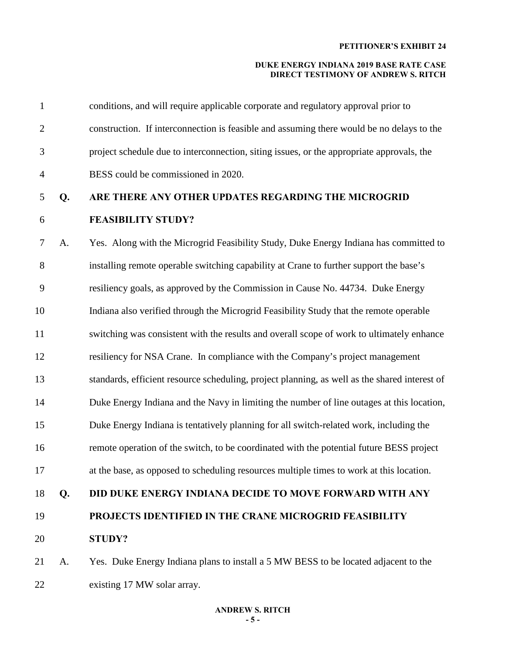| $\mathbf{1}$   |    | conditions, and will require applicable corporate and regulatory approval prior to            |
|----------------|----|-----------------------------------------------------------------------------------------------|
| $\overline{2}$ |    | construction. If interconnection is feasible and assuming there would be no delays to the     |
| 3              |    | project schedule due to interconnection, siting issues, or the appropriate approvals, the     |
| $\overline{4}$ |    | BESS could be commissioned in 2020.                                                           |
| 5              | Q. | ARE THERE ANY OTHER UPDATES REGARDING THE MICROGRID                                           |
| 6              |    | <b>FEASIBILITY STUDY?</b>                                                                     |
| $\tau$         | A. | Yes. Along with the Microgrid Feasibility Study, Duke Energy Indiana has committed to         |
| $8\,$          |    | installing remote operable switching capability at Crane to further support the base's        |
| 9              |    | resiliency goals, as approved by the Commission in Cause No. 44734. Duke Energy               |
| 10             |    | Indiana also verified through the Microgrid Feasibility Study that the remote operable        |
| 11             |    | switching was consistent with the results and overall scope of work to ultimately enhance     |
| 12             |    | resiliency for NSA Crane. In compliance with the Company's project management                 |
| 13             |    | standards, efficient resource scheduling, project planning, as well as the shared interest of |
| 14             |    | Duke Energy Indiana and the Navy in limiting the number of line outages at this location,     |
| 15             |    | Duke Energy Indiana is tentatively planning for all switch-related work, including the        |
| 16             |    | remote operation of the switch, to be coordinated with the potential future BESS project      |
| 17             |    | at the base, as opposed to scheduling resources multiple times to work at this location.      |
| 18             | Q. | <b>DID DUKE ENERGY INDIANA DECIDE TO MOVE FORWARD WITH ANY</b>                                |
| 19             |    | PROJECTS IDENTIFIED IN THE CRANE MICROGRID FEASIBILITY                                        |
| 20             |    | <b>STUDY?</b>                                                                                 |
| 21             | A. | Yes. Duke Energy Indiana plans to install a 5 MW BESS to be located adjacent to the           |
| 22             |    | existing 17 MW solar array.                                                                   |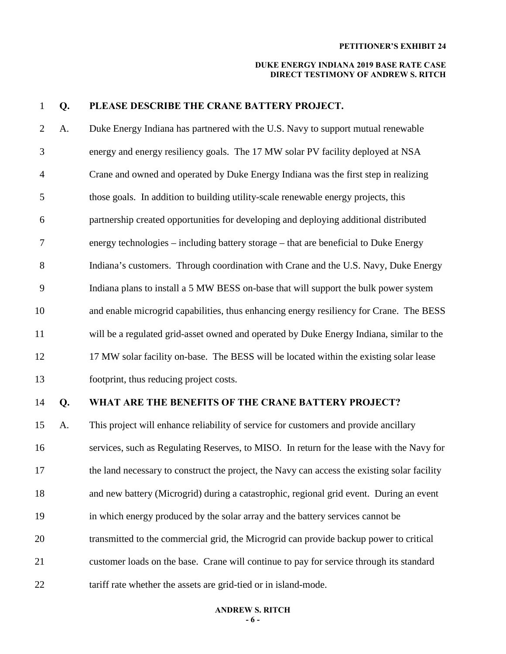#### **DUKE ENERGY INDIANA 2019 BASE RATE CASE DIRECT TESTIMONY OF ANDREW S. RITCH**

#### 1 **Q. PLEASE DESCRIBE THE CRANE BATTERY PROJECT.**

2 A. Duke Energy Indiana has partnered with the U.S. Navy to support mutual renewable 3 energy and energy resiliency goals. The 17 MW solar PV facility deployed at NSA 4 Crane and owned and operated by Duke Energy Indiana was the first step in realizing 5 those goals. In addition to building utility-scale renewable energy projects, this 6 partnership created opportunities for developing and deploying additional distributed 7 energy technologies – including battery storage – that are beneficial to Duke Energy 8 Indiana's customers. Through coordination with Crane and the U.S. Navy, Duke Energy 9 Indiana plans to install a 5 MW BESS on-base that will support the bulk power system 10 and enable microgrid capabilities, thus enhancing energy resiliency for Crane. The BESS 11 will be a regulated grid-asset owned and operated by Duke Energy Indiana, similar to the 12 17 MW solar facility on-base. The BESS will be located within the existing solar lease 13 footprint, thus reducing project costs.

# 14 **Q. WHAT ARE THE BENEFITS OF THE CRANE BATTERY PROJECT?**

15 A. This project will enhance reliability of service for customers and provide ancillary 16 services, such as Regulating Reserves, to MISO. In return for the lease with the Navy for 17 the land necessary to construct the project, the Navy can access the existing solar facility 18 and new battery (Microgrid) during a catastrophic, regional grid event. During an event 19 in which energy produced by the solar array and the battery services cannot be 20 transmitted to the commercial grid, the Microgrid can provide backup power to critical 21 customer loads on the base. Crane will continue to pay for service through its standard 22 tariff rate whether the assets are grid-tied or in island-mode.

#### **ANDREW S. RITCH - 6 -**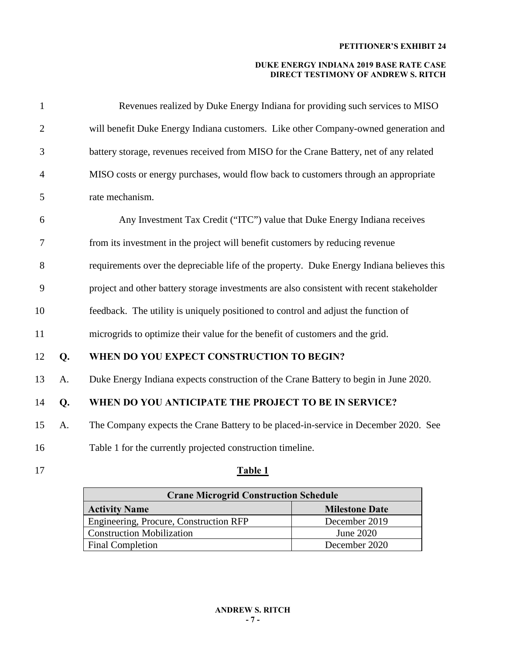| $\mathbf{1}$   |    | Revenues realized by Duke Energy Indiana for providing such services to MISO              |
|----------------|----|-------------------------------------------------------------------------------------------|
| $\overline{2}$ |    | will benefit Duke Energy Indiana customers. Like other Company-owned generation and       |
| 3              |    | battery storage, revenues received from MISO for the Crane Battery, net of any related    |
| $\overline{4}$ |    | MISO costs or energy purchases, would flow back to customers through an appropriate       |
| 5              |    | rate mechanism.                                                                           |
| 6              |    | Any Investment Tax Credit ("ITC") value that Duke Energy Indiana receives                 |
| $\overline{7}$ |    | from its investment in the project will benefit customers by reducing revenue             |
| 8              |    | requirements over the depreciable life of the property. Duke Energy Indiana believes this |
| 9              |    | project and other battery storage investments are also consistent with recent stakeholder |
| 10             |    | feedback. The utility is uniquely positioned to control and adjust the function of        |
| 11             |    | microgrids to optimize their value for the benefit of customers and the grid.             |
| 12             | Q. | WHEN DO YOU EXPECT CONSTRUCTION TO BEGIN?                                                 |
| 13             | A. | Duke Energy Indiana expects construction of the Crane Battery to begin in June 2020.      |
| 14             | Q. | WHEN DO YOU ANTICIPATE THE PROJECT TO BE IN SERVICE?                                      |
| 15             | A. | The Company expects the Crane Battery to be placed-in-service in December 2020. See       |
| 16             |    | Table 1 for the currently projected construction timeline.                                |
| 17             |    | Table 1                                                                                   |

| <b>Crane Microgrid Construction Schedule</b>  |               |  |
|-----------------------------------------------|---------------|--|
| <b>Milestone Date</b><br><b>Activity Name</b> |               |  |
| <b>Engineering, Procure, Construction RFP</b> | December 2019 |  |
| <b>Construction Mobilization</b>              | June 2020     |  |
| <b>Final Completion</b>                       | December 2020 |  |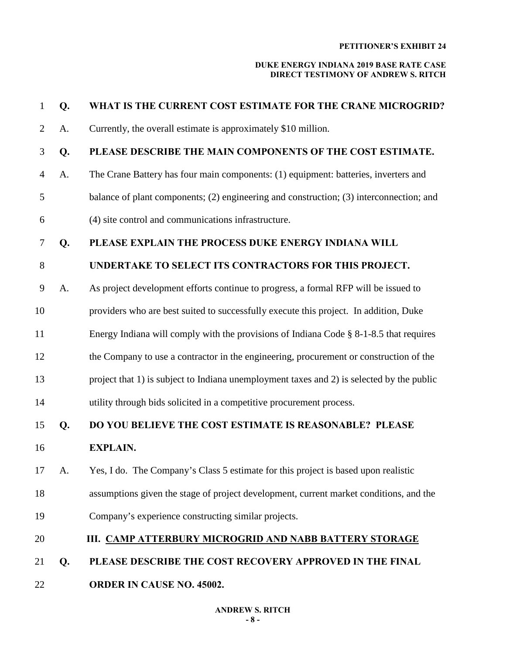#### **DUKE ENERGY INDIANA 2019 BASE RATE CASE DIRECT TESTIMONY OF ANDREW S. RITCH**

| $\mathbf{1}$   | Q.   | WHAT IS THE CURRENT COST ESTIMATE FOR THE CRANE MICROGRID?                                |
|----------------|------|-------------------------------------------------------------------------------------------|
| $\overline{2}$ | A.   | Currently, the overall estimate is approximately \$10 million.                            |
| 3              | Q.   | PLEASE DESCRIBE THE MAIN COMPONENTS OF THE COST ESTIMATE.                                 |
| $\overline{4}$ | A.   | The Crane Battery has four main components: (1) equipment: batteries, inverters and       |
| 5              |      | balance of plant components; (2) engineering and construction; (3) interconnection; and   |
| 6              |      | (4) site control and communications infrastructure.                                       |
| 7              | Q.   | PLEASE EXPLAIN THE PROCESS DUKE ENERGY INDIANA WILL                                       |
| $8\,$          |      | UNDERTAKE TO SELECT ITS CONTRACTORS FOR THIS PROJECT.                                     |
| 9              | A.   | As project development efforts continue to progress, a formal RFP will be issued to       |
| 10             |      | providers who are best suited to successfully execute this project. In addition, Duke     |
| 11             |      | Energy Indiana will comply with the provisions of Indiana Code § 8-1-8.5 that requires    |
| 12             |      | the Company to use a contractor in the engineering, procurement or construction of the    |
| 13             |      | project that 1) is subject to Indiana unemployment taxes and 2) is selected by the public |
| 14             |      | utility through bids solicited in a competitive procurement process.                      |
| 15             | Q.   | DO YOU BELIEVE THE COST ESTIMATE IS REASONABLE? PLEASE                                    |
| 16             |      | <b>EXPLAIN.</b>                                                                           |
| 17             | - A. | Yes, I do. The Company's Class 5 estimate for this project is based upon realistic        |
| 18             |      | assumptions given the stage of project development, current market conditions, and the    |
| 19             |      | Company's experience constructing similar projects.                                       |
| 20             |      | III. CAMP ATTERBURY MICROGRID AND NABB BATTERY STORAGE                                    |
| 21             | Q.   | PLEASE DESCRIBE THE COST RECOVERY APPROVED IN THE FINAL                                   |
|                |      |                                                                                           |

22 **ORDER IN CAUSE NO. 45002.**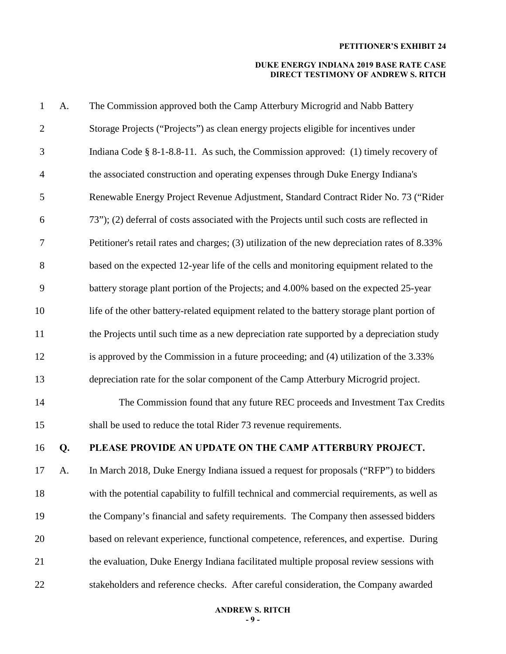| $\mathbf{1}$   | A. | The Commission approved both the Camp Atterbury Microgrid and Nabb Battery                    |
|----------------|----|-----------------------------------------------------------------------------------------------|
| $\overline{2}$ |    | Storage Projects ("Projects") as clean energy projects eligible for incentives under          |
| 3              |    | Indiana Code $\S$ 8-1-8.8-11. As such, the Commission approved: (1) timely recovery of        |
| $\overline{4}$ |    | the associated construction and operating expenses through Duke Energy Indiana's              |
| 5              |    | Renewable Energy Project Revenue Adjustment, Standard Contract Rider No. 73 ("Rider           |
| 6              |    | 73"); (2) deferral of costs associated with the Projects until such costs are reflected in    |
| $\tau$         |    | Petitioner's retail rates and charges; (3) utilization of the new depreciation rates of 8.33% |
| $8\,$          |    | based on the expected 12-year life of the cells and monitoring equipment related to the       |
| 9              |    | battery storage plant portion of the Projects; and 4.00% based on the expected 25-year        |
| 10             |    | life of the other battery-related equipment related to the battery storage plant portion of   |
| 11             |    | the Projects until such time as a new depreciation rate supported by a depreciation study     |
| 12             |    | is approved by the Commission in a future proceeding; and (4) utilization of the 3.33%        |
| 13             |    | depreciation rate for the solar component of the Camp Atterbury Microgrid project.            |
| 14             |    | The Commission found that any future REC proceeds and Investment Tax Credits                  |
| 15             |    | shall be used to reduce the total Rider 73 revenue requirements.                              |
| 16             | Q. | PLEASE PROVIDE AN UPDATE ON THE CAMP ATTERBURY PROJECT.                                       |
| 17             | A. | In March 2018, Duke Energy Indiana issued a request for proposals ("RFP") to bidders          |
| 18             |    | with the potential capability to fulfill technical and commercial requirements, as well as    |
| 19             |    | the Company's financial and safety requirements. The Company then assessed bidders            |
| 20             |    | based on relevant experience, functional competence, references, and expertise. During        |
| 21             |    | the evaluation, Duke Energy Indiana facilitated multiple proposal review sessions with        |
| 22             |    | stakeholders and reference checks. After careful consideration, the Company awarded           |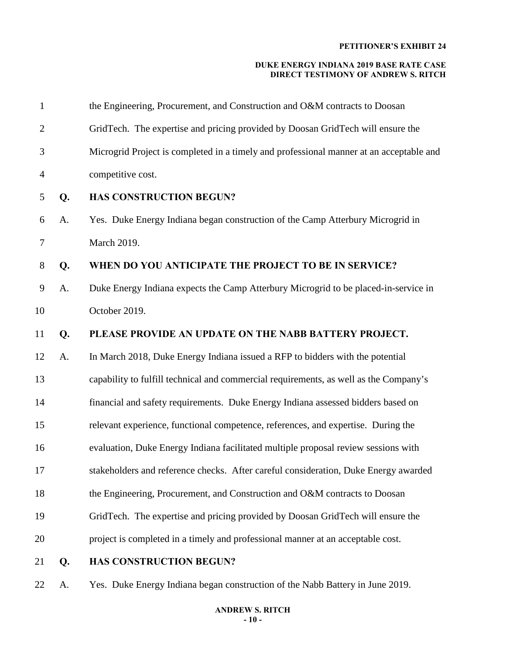#### **DUKE ENERGY INDIANA 2019 BASE RATE CASE DIRECT TESTIMONY OF ANDREW S. RITCH**

| $\mathbf{1}$   |    | the Engineering, Procurement, and Construction and O&M contracts to Doosan              |
|----------------|----|-----------------------------------------------------------------------------------------|
| $\overline{2}$ |    | GridTech. The expertise and pricing provided by Doosan GridTech will ensure the         |
| 3              |    | Microgrid Project is completed in a timely and professional manner at an acceptable and |
| $\overline{4}$ |    | competitive cost.                                                                       |
| 5              | Q. | <b>HAS CONSTRUCTION BEGUN?</b>                                                          |
| 6              | A. | Yes. Duke Energy Indiana began construction of the Camp Atterbury Microgrid in          |
| 7              |    | March 2019.                                                                             |
| 8              | Q. | WHEN DO YOU ANTICIPATE THE PROJECT TO BE IN SERVICE?                                    |
| 9              | A. | Duke Energy Indiana expects the Camp Atterbury Microgrid to be placed-in-service in     |
| 10             |    | October 2019.                                                                           |
| 11             | Q. | PLEASE PROVIDE AN UPDATE ON THE NABB BATTERY PROJECT.                                   |
| 12             | A. | In March 2018, Duke Energy Indiana issued a RFP to bidders with the potential           |
| 13             |    | capability to fulfill technical and commercial requirements, as well as the Company's   |
| 14             |    | financial and safety requirements. Duke Energy Indiana assessed bidders based on        |
| 15             |    | relevant experience, functional competence, references, and expertise. During the       |
| 16             |    | evaluation, Duke Energy Indiana facilitated multiple proposal review sessions with      |
| 17             |    | stakeholders and reference checks. After careful consideration, Duke Energy awarded     |
| 18             |    | the Engineering, Procurement, and Construction and O&M contracts to Doosan              |
| 19             |    | GridTech. The expertise and pricing provided by Doosan GridTech will ensure the         |
| 20             |    | project is completed in a timely and professional manner at an acceptable cost.         |
| 21             | Q. | <b>HAS CONSTRUCTION BEGUN?</b>                                                          |

22 A. Yes. Duke Energy Indiana began construction of the Nabb Battery in June 2019.

#### **ANDREW S. RITCH - 10 -**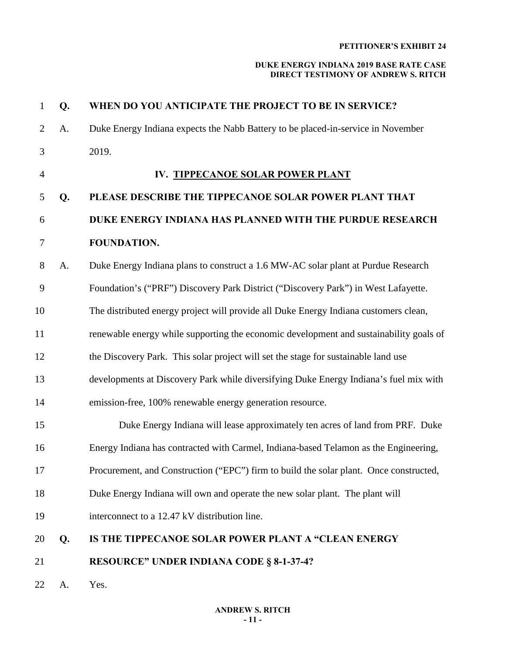| $\mathbf 1$    | Q. | WHEN DO YOU ANTICIPATE THE PROJECT TO BE IN SERVICE?                                   |
|----------------|----|----------------------------------------------------------------------------------------|
| $\overline{2}$ | A. | Duke Energy Indiana expects the Nabb Battery to be placed-in-service in November       |
| 3              |    | 2019.                                                                                  |
| $\overline{4}$ |    | IV. TIPPECANOE SOLAR POWER PLANT                                                       |
| 5              | Q. | PLEASE DESCRIBE THE TIPPECANOE SOLAR POWER PLANT THAT                                  |
| 6              |    | DUKE ENERGY INDIANA HAS PLANNED WITH THE PURDUE RESEARCH                               |
| $\tau$         |    | FOUNDATION.                                                                            |
| 8              | A. | Duke Energy Indiana plans to construct a 1.6 MW-AC solar plant at Purdue Research      |
| 9              |    | Foundation's ("PRF") Discovery Park District ("Discovery Park") in West Lafayette.     |
| 10             |    | The distributed energy project will provide all Duke Energy Indiana customers clean,   |
| 11             |    | renewable energy while supporting the economic development and sustainability goals of |
| 12             |    | the Discovery Park. This solar project will set the stage for sustainable land use     |
| 13             |    | developments at Discovery Park while diversifying Duke Energy Indiana's fuel mix with  |
| 14             |    | emission-free, 100% renewable energy generation resource.                              |
| 15             |    | Duke Energy Indiana will lease approximately ten acres of land from PRF. Duke          |
| 16             |    | Energy Indiana has contracted with Carmel, Indiana-based Telamon as the Engineering,   |
| 17             |    | Procurement, and Construction ("EPC") firm to build the solar plant. Once constructed, |
| 18             |    | Duke Energy Indiana will own and operate the new solar plant. The plant will           |
| 19             |    | interconnect to a 12.47 kV distribution line.                                          |
| 20             | Q. | IS THE TIPPECANOE SOLAR POWER PLANT A "CLEAN ENERGY                                    |
| 21             |    | <b>RESOURCE" UNDER INDIANA CODE § 8-1-37-4?</b>                                        |
| 22             | A. | Yes.                                                                                   |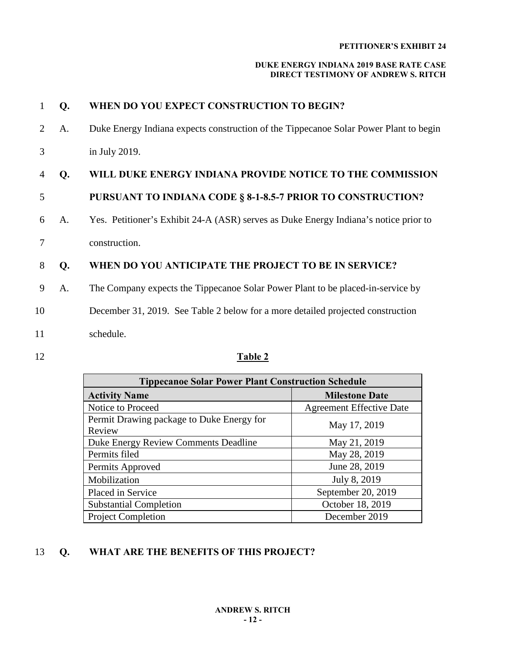#### **DUKE ENERGY INDIANA 2019 BASE RATE CASE DIRECT TESTIMONY OF ANDREW S. RITCH**

| $\mathbf{1}$ | Q. | WHEN DO YOU EXPECT CONSTRUCTION TO BEGIN?                                             |
|--------------|----|---------------------------------------------------------------------------------------|
| 2            | A. | Duke Energy Indiana expects construction of the Tippecanoe Solar Power Plant to begin |
| 3            |    | in July 2019.                                                                         |
| 4            | Q. | WILL DUKE ENERGY INDIANA PROVIDE NOTICE TO THE COMMISSION                             |
| 5            |    | PURSUANT TO INDIANA CODE § 8-1-8.5-7 PRIOR TO CONSTRUCTION?                           |
| 6            | A. | Yes. Petitioner's Exhibit 24-A (ASR) serves as Duke Energy Indiana's notice prior to  |
| 7            |    | construction.                                                                         |
| 8            | Q. | WHEN DO YOU ANTICIPATE THE PROJECT TO BE IN SERVICE?                                  |
| 9            | A. | The Company expects the Tippecanoe Solar Power Plant to be placed-in-service by       |
| 10           |    | December 31, 2019. See Table 2 below for a more detailed projected construction       |
| 11           |    | schedule.                                                                             |
| 12           |    | Table 2                                                                               |

| <b>Tippecanoe Solar Power Plant Construction Schedule</b> |                                 |  |
|-----------------------------------------------------------|---------------------------------|--|
| <b>Activity Name</b>                                      | <b>Milestone Date</b>           |  |
| Notice to Proceed                                         | <b>Agreement Effective Date</b> |  |
| Permit Drawing package to Duke Energy for<br>Review       | May 17, 2019                    |  |
| Duke Energy Review Comments Deadline                      | May 21, 2019                    |  |
| Permits filed                                             | May 28, 2019                    |  |
| Permits Approved                                          | June 28, 2019                   |  |
| Mobilization                                              | July 8, 2019                    |  |
| Placed in Service                                         | September 20, 2019              |  |
| <b>Substantial Completion</b>                             | October 18, 2019                |  |
| <b>Project Completion</b>                                 | December 2019                   |  |

# 13 **Q. WHAT ARE THE BENEFITS OF THIS PROJECT?**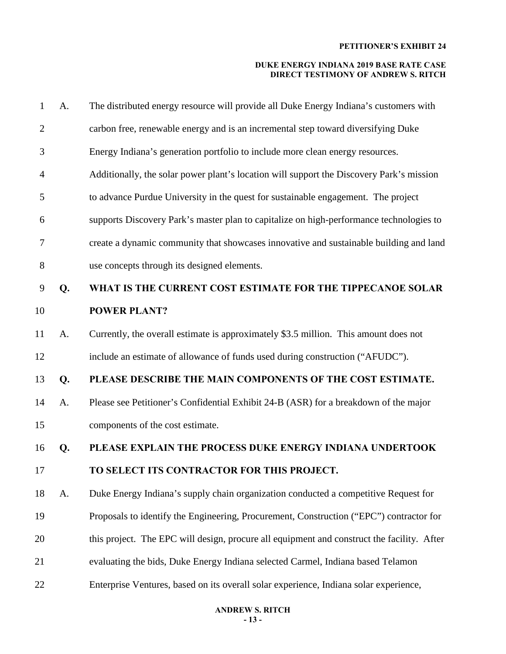| $\mathbf 1$    | A. | The distributed energy resource will provide all Duke Energy Indiana's customers with      |  |  |
|----------------|----|--------------------------------------------------------------------------------------------|--|--|
| $\overline{2}$ |    | carbon free, renewable energy and is an incremental step toward diversifying Duke          |  |  |
| 3              |    | Energy Indiana's generation portfolio to include more clean energy resources.              |  |  |
| 4              |    | Additionally, the solar power plant's location will support the Discovery Park's mission   |  |  |
| 5              |    | to advance Purdue University in the quest for sustainable engagement. The project          |  |  |
| 6              |    | supports Discovery Park's master plan to capitalize on high-performance technologies to    |  |  |
| 7              |    | create a dynamic community that showcases innovative and sustainable building and land     |  |  |
| 8              |    | use concepts through its designed elements.                                                |  |  |
| 9              | Q. | WHAT IS THE CURRENT COST ESTIMATE FOR THE TIPPECANOE SOLAR                                 |  |  |
| 10             |    | <b>POWER PLANT?</b>                                                                        |  |  |
| 11             | A. | Currently, the overall estimate is approximately \$3.5 million. This amount does not       |  |  |
| 12             |    | include an estimate of allowance of funds used during construction ("AFUDC").              |  |  |
| 13             | Q. | PLEASE DESCRIBE THE MAIN COMPONENTS OF THE COST ESTIMATE.                                  |  |  |
| 14             | A. | Please see Petitioner's Confidential Exhibit 24-B (ASR) for a breakdown of the major       |  |  |
| 15             |    | components of the cost estimate.                                                           |  |  |
| 16             | Q. | PLEASE EXPLAIN THE PROCESS DUKE ENERGY INDIANA UNDERTOOK                                   |  |  |
| 17             |    | TO SELECT ITS CONTRACTOR FOR THIS PROJECT.                                                 |  |  |
| 18             | A. | Duke Energy Indiana's supply chain organization conducted a competitive Request for        |  |  |
| 19             |    | Proposals to identify the Engineering, Procurement, Construction ("EPC") contractor for    |  |  |
| 20             |    | this project. The EPC will design, procure all equipment and construct the facility. After |  |  |
| 21             |    | evaluating the bids, Duke Energy Indiana selected Carmel, Indiana based Telamon            |  |  |
| 22             |    | Enterprise Ventures, based on its overall solar experience, Indiana solar experience,      |  |  |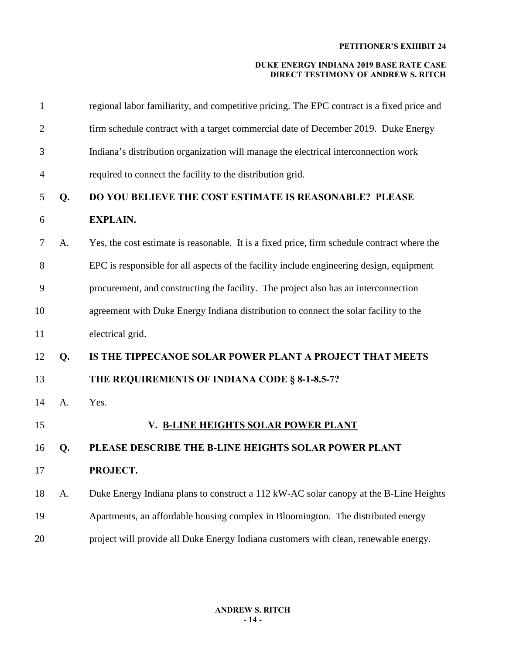| 1              |    | regional labor familiarity, and competitive pricing. The EPC contract is a fixed price and  |  |
|----------------|----|---------------------------------------------------------------------------------------------|--|
| $\overline{2}$ |    | firm schedule contract with a target commercial date of December 2019. Duke Energy          |  |
| 3              |    | Indiana's distribution organization will manage the electrical interconnection work         |  |
| $\overline{4}$ |    | required to connect the facility to the distribution grid.                                  |  |
| 5              | Q. | DO YOU BELIEVE THE COST ESTIMATE IS REASONABLE? PLEASE                                      |  |
| 6              |    | <b>EXPLAIN.</b>                                                                             |  |
| $\tau$         | A. | Yes, the cost estimate is reasonable. It is a fixed price, firm schedule contract where the |  |
| 8              |    | EPC is responsible for all aspects of the facility include engineering design, equipment    |  |
| 9              |    | procurement, and constructing the facility. The project also has an interconnection         |  |
| 10             |    | agreement with Duke Energy Indiana distribution to connect the solar facility to the        |  |
| 11             |    | electrical grid.                                                                            |  |
| 12             | Q. | IS THE TIPPECANOE SOLAR POWER PLANT A PROJECT THAT MEETS                                    |  |
| 13             |    | THE REQUIREMENTS OF INDIANA CODE § 8-1-8.5-7?                                               |  |
| 14             | A. | Yes.                                                                                        |  |
| 15             |    | V. B-LINE HEIGHTS SOLAR POWER PLANT                                                         |  |
| 16             | Q. | PLEASE DESCRIBE THE B-LINE HEIGHTS SOLAR POWER PLANT                                        |  |
| 17             |    | PROJECT.                                                                                    |  |
| 18             | A. | Duke Energy Indiana plans to construct a 112 kW-AC solar canopy at the B-Line Heights       |  |
| 19             |    | Apartments, an affordable housing complex in Bloomington. The distributed energy            |  |
| 20             |    | project will provide all Duke Energy Indiana customers with clean, renewable energy.        |  |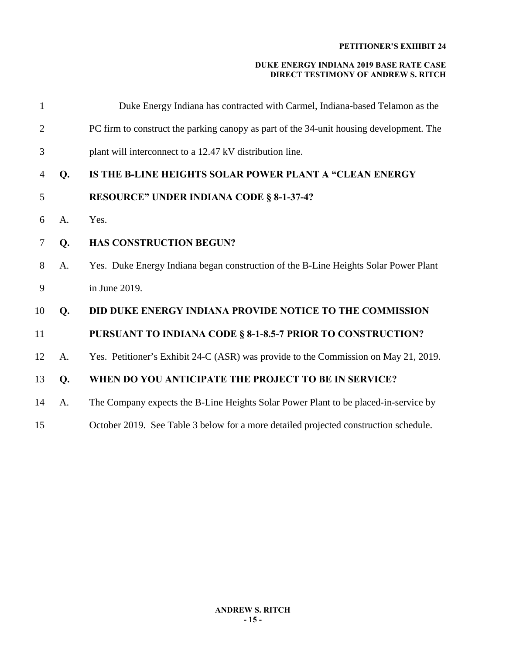| $\mathbf{1}$   |       | Duke Energy Indiana has contracted with Carmel, Indiana-based Telamon as the            |  |
|----------------|-------|-----------------------------------------------------------------------------------------|--|
| $\overline{2}$ |       | PC firm to construct the parking canopy as part of the 34-unit housing development. The |  |
| 3              |       | plant will interconnect to a 12.47 kV distribution line.                                |  |
| $\overline{4}$ | Q.    | IS THE B-LINE HEIGHTS SOLAR POWER PLANT A "CLEAN ENERGY                                 |  |
| 5              |       | <b>RESOURCE" UNDER INDIANA CODE § 8-1-37-4?</b>                                         |  |
| 6              | A.    | Yes.                                                                                    |  |
| 7              | Q.    | <b>HAS CONSTRUCTION BEGUN?</b>                                                          |  |
| 8              | A.    | Yes. Duke Energy Indiana began construction of the B-Line Heights Solar Power Plant     |  |
| 9              |       | in June 2019.                                                                           |  |
| 10             | Q.    | <b>DID DUKE ENERGY INDIANA PROVIDE NOTICE TO THE COMMISSION</b>                         |  |
| 11             |       | PURSUANT TO INDIANA CODE § 8-1-8.5-7 PRIOR TO CONSTRUCTION?                             |  |
| 12             | A.    | Yes. Petitioner's Exhibit 24-C (ASR) was provide to the Commission on May 21, 2019.     |  |
| 13             | $Q$ . | WHEN DO YOU ANTICIPATE THE PROJECT TO BE IN SERVICE?                                    |  |
| 14             | A.    | The Company expects the B-Line Heights Solar Power Plant to be placed-in-service by     |  |
| 15             |       | October 2019. See Table 3 below for a more detailed projected construction schedule.    |  |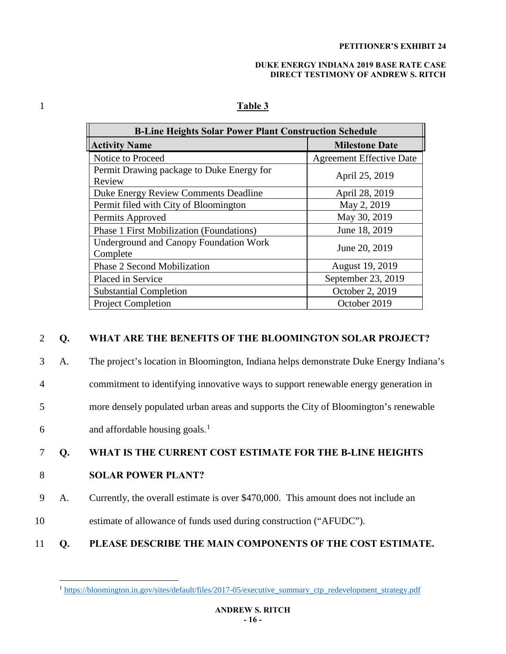#### **DUKE ENERGY INDIANA 2019 BASE RATE CASE DIRECT TESTIMONY OF ANDREW S. RITCH**

| <b>B-Line Heights Solar Power Plant Construction Schedule</b> |                                 |  |
|---------------------------------------------------------------|---------------------------------|--|
| <b>Activity Name</b>                                          | <b>Milestone Date</b>           |  |
| Notice to Proceed                                             | <b>Agreement Effective Date</b> |  |
| Permit Drawing package to Duke Energy for<br>Review           | April 25, 2019                  |  |
| Duke Energy Review Comments Deadline                          | April 28, 2019                  |  |
| Permit filed with City of Bloomington                         | May 2, 2019                     |  |
| Permits Approved                                              | May 30, 2019                    |  |
| <b>Phase 1 First Mobilization (Foundations)</b>               | June 18, 2019                   |  |
| <b>Underground and Canopy Foundation Work</b><br>Complete     | June 20, 2019                   |  |
| <b>Phase 2 Second Mobilization</b>                            | August 19, 2019                 |  |
| Placed in Service                                             | September 23, 2019              |  |
| <b>Substantial Completion</b>                                 | October 2, 2019                 |  |
| <b>Project Completion</b>                                     | October 2019                    |  |

# 1 **Table 3**

## 2 **Q. WHAT ARE THE BENEFITS OF THE BLOOMINGTON SOLAR PROJECT?**

3 A. The project's location in Bloomington, Indiana helps demonstrate Duke Energy Indiana's

4 commitment to identifying innovative ways to support renewable energy generation in

5 more densely populated urban areas and supports the City of Bloomington's renewable

 $6 \qquad \qquad \text{and} \text{ affordable housing goals.}^1$  $6 \qquad \qquad \text{and} \text{ affordable housing goals.}^1$ 

## 7 **Q. WHAT IS THE CURRENT COST ESTIMATE FOR THE B-LINE HEIGHTS**

#### 8 **SOLAR POWER PLANT?**

9 A. Currently, the overall estimate is over \$470,000. This amount does not include an

- 10 estimate of allowance of funds used during construction ("AFUDC").
- <span id="page-16-0"></span>11 **Q. PLEASE DESCRIBE THE MAIN COMPONENTS OF THE COST ESTIMATE.**

 $\overline{a}$ <sup>1</sup> [https://bloomington.in.gov/sites/default/files/2017-05/executive\\_summary\\_ctp\\_redevelopment\\_strategy.pdf](https://bloomington.in.gov/sites/default/files/2017-05/executive_summary_ctp_redevelopment_strategy.pdf)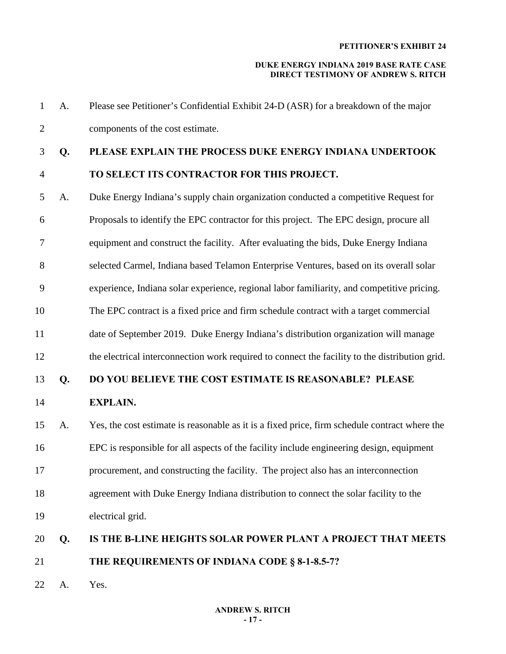#### **DUKE ENERGY INDIANA 2019 BASE RATE CASE DIRECT TESTIMONY OF ANDREW S. RITCH**

1 A. Please see Petitioner's Confidential Exhibit 24-D (ASR) for a breakdown of the major 2 components of the cost estimate.

# 3 **Q. PLEASE EXPLAIN THE PROCESS DUKE ENERGY INDIANA UNDERTOOK**

# 4 **TO SELECT ITS CONTRACTOR FOR THIS PROJECT.**

- 5 A. Duke Energy Indiana's supply chain organization conducted a competitive Request for 6 Proposals to identify the EPC contractor for this project. The EPC design, procure all 7 equipment and construct the facility. After evaluating the bids, Duke Energy Indiana 8 selected Carmel, Indiana based Telamon Enterprise Ventures, based on its overall solar 9 experience, Indiana solar experience, regional labor familiarity, and competitive pricing. 10 The EPC contract is a fixed price and firm schedule contract with a target commercial 11 date of September 2019. Duke Energy Indiana's distribution organization will manage 12 the electrical interconnection work required to connect the facility to the distribution grid. 13 **Q. DO YOU BELIEVE THE COST ESTIMATE IS REASONABLE? PLEASE**  14 **EXPLAIN.** 15 A. Yes, the cost estimate is reasonable as it is a fixed price, firm schedule contract where the 16 EPC is responsible for all aspects of the facility include engineering design, equipment 17 procurement, and constructing the facility. The project also has an interconnection 18 agreement with Duke Energy Indiana distribution to connect the solar facility to the 19 electrical grid. 20 **Q. IS THE B-LINE HEIGHTS SOLAR POWER PLANT A PROJECT THAT MEETS**
- 21 **THE REQUIREMENTS OF INDIANA CODE § 8-1-8.5-7?**
- 22 A. Yes.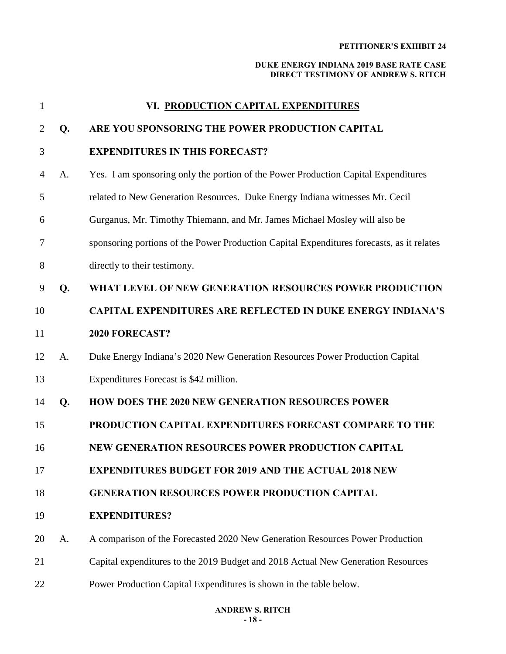| 1              |    | VI. PRODUCTION CAPITAL EXPENDITURES                                                       |  |  |
|----------------|----|-------------------------------------------------------------------------------------------|--|--|
| 2              | Q. | ARE YOU SPONSORING THE POWER PRODUCTION CAPITAL                                           |  |  |
| 3              |    | <b>EXPENDITURES IN THIS FORECAST?</b>                                                     |  |  |
| $\overline{4}$ | A. | Yes. I am sponsoring only the portion of the Power Production Capital Expenditures        |  |  |
| 5              |    | related to New Generation Resources. Duke Energy Indiana witnesses Mr. Cecil              |  |  |
| 6              |    | Gurganus, Mr. Timothy Thiemann, and Mr. James Michael Mosley will also be                 |  |  |
| 7              |    | sponsoring portions of the Power Production Capital Expenditures forecasts, as it relates |  |  |
| 8              |    | directly to their testimony.                                                              |  |  |
| 9              | Q. | WHAT LEVEL OF NEW GENERATION RESOURCES POWER PRODUCTION                                   |  |  |
| 10             |    | <b>CAPITAL EXPENDITURES ARE REFLECTED IN DUKE ENERGY INDIANA'S</b>                        |  |  |
| 11             |    | 2020 FORECAST?                                                                            |  |  |
| 12             | A. | Duke Energy Indiana's 2020 New Generation Resources Power Production Capital              |  |  |
| 13             |    | Expenditures Forecast is \$42 million.                                                    |  |  |
| 14             | Q. | <b>HOW DOES THE 2020 NEW GENERATION RESOURCES POWER</b>                                   |  |  |
| 15             |    | PRODUCTION CAPITAL EXPENDITURES FORECAST COMPARE TO THE                                   |  |  |
| 16             |    | NEW GENERATION RESOURCES POWER PRODUCTION CAPITAL                                         |  |  |
| 17             |    | <b>EXPENDITURES BUDGET FOR 2019 AND THE ACTUAL 2018 NEW</b>                               |  |  |
| 18             |    | <b>GENERATION RESOURCES POWER PRODUCTION CAPITAL</b>                                      |  |  |
| 19             |    | <b>EXPENDITURES?</b>                                                                      |  |  |
| 20             | A. | A comparison of the Forecasted 2020 New Generation Resources Power Production             |  |  |
| 21             |    | Capital expenditures to the 2019 Budget and 2018 Actual New Generation Resources          |  |  |
| 22             |    | Power Production Capital Expenditures is shown in the table below.                        |  |  |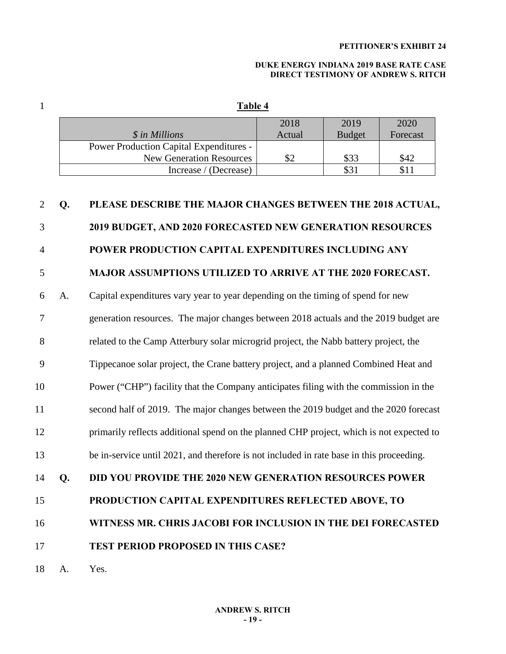#### **DUKE ENERGY INDIANA 2019 BASE RATE CASE DIRECT TESTIMONY OF ANDREW S. RITCH**

1 **Table 4** 

| 2018   | 2019          | 2020     |
|--------|---------------|----------|
| Actual | <b>Budget</b> | Forecast |
|        |               |          |
|        | \$33          | \$42     |
|        | \$31          |          |
|        |               |          |

# 2 **Q. PLEASE DESCRIBE THE MAJOR CHANGES BETWEEN THE 2018 ACTUAL,**  3 **2019 BUDGET, AND 2020 FORECASTED NEW GENERATION RESOURCES**  4 **POWER PRODUCTION CAPITAL EXPENDITURES INCLUDING ANY**  5 **MAJOR ASSUMPTIONS UTILIZED TO ARRIVE AT THE 2020 FORECAST.**  6 A. Capital expenditures vary year to year depending on the timing of spend for new 7 generation resources. The major changes between 2018 actuals and the 2019 budget are 8 related to the Camp Atterbury solar microgrid project, the Nabb battery project, the 9 Tippecanoe solar project, the Crane battery project, and a planned Combined Heat and 10 Power ("CHP") facility that the Company anticipates filing with the commission in the 11 second half of 2019. The major changes between the 2019 budget and the 2020 forecast 12 primarily reflects additional spend on the planned CHP project, which is not expected to 13 be in-service until 2021, and therefore is not included in rate base in this proceeding. 14 **Q. DID YOU PROVIDE THE 2020 NEW GENERATION RESOURCES POWER**  15 **PRODUCTION CAPITAL EXPENDITURES REFLECTED ABOVE, TO** 16 **WITNESS MR. CHRIS JACOBI FOR INCLUSION IN THE DEI FORECASTED** 17 **TEST PERIOD PROPOSED IN THIS CASE?** 18 A. Yes.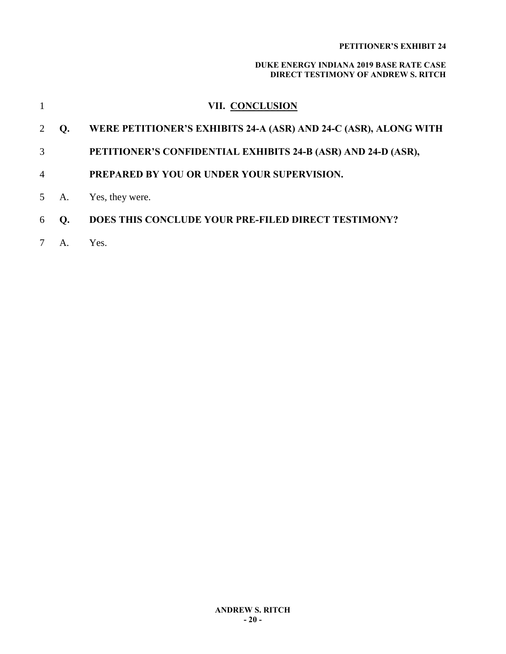|                |      | <b>VII. CONCLUSION</b>                                           |
|----------------|------|------------------------------------------------------------------|
| 2              | Q.   | WERE PETITIONER'S EXHIBITS 24-A (ASR) AND 24-C (ASR), ALONG WITH |
| 3              |      | PETITIONER'S CONFIDENTIAL EXHIBITS 24-B (ASR) AND 24-D (ASR),    |
| $\overline{4}$ |      | PREPARED BY YOU OR UNDER YOUR SUPERVISION.                       |
|                | 5 A. | Yes, they were.                                                  |
| 6              | Q.   | DOES THIS CONCLUDE YOUR PRE-FILED DIRECT TESTIMONY?              |
|                | A.   | Yes.                                                             |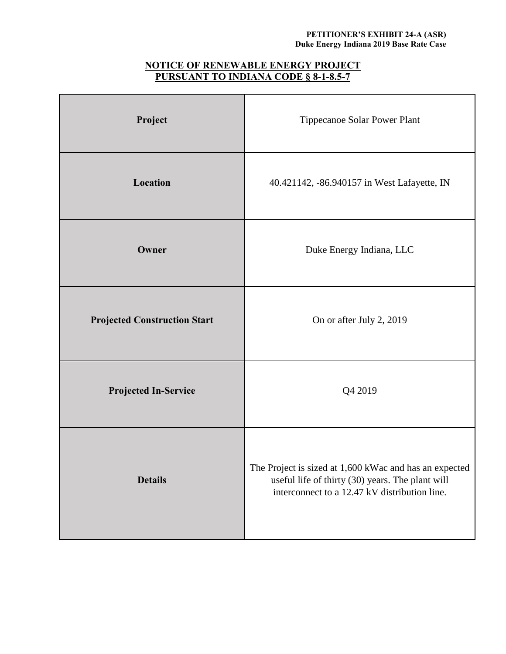#### **PETITIONER'S EXHIBIT 24-A (ASR) Duke Energy Indiana 2019 Base Rate Case**

# **NOTICE OF RENEWABLE ENERGY PROJECT PURSUANT TO INDIANA CODE § 8-1-8.5-7**

| Project                             | Tippecanoe Solar Power Plant                                                                                                                                |
|-------------------------------------|-------------------------------------------------------------------------------------------------------------------------------------------------------------|
| Location                            | 40.421142, -86.940157 in West Lafayette, IN                                                                                                                 |
| Owner                               | Duke Energy Indiana, LLC                                                                                                                                    |
| <b>Projected Construction Start</b> | On or after July 2, 2019                                                                                                                                    |
| <b>Projected In-Service</b>         | Q4 2019                                                                                                                                                     |
| <b>Details</b>                      | The Project is sized at 1,600 kWac and has an expected<br>useful life of thirty (30) years. The plant will<br>interconnect to a 12.47 kV distribution line. |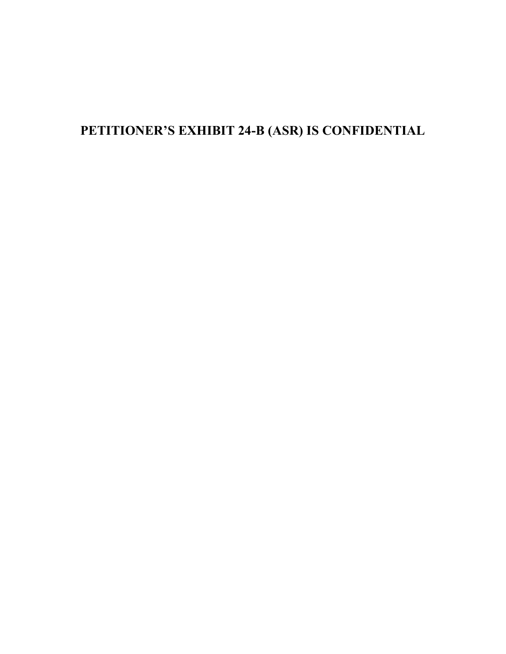# **PETITIONER'S EXHIBIT 24-B (ASR) IS CONFIDENTIAL**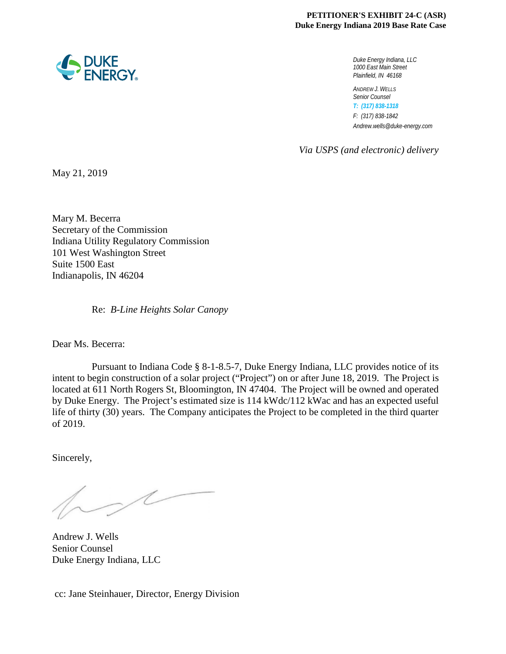#### **PETITIONER'S EXHIBIT 24-C (ASR) Duke Energy Indiana 2019 Base Rate Case**

*Duke Energy Indiana, LLC 1000 East Main Street Plainfield, IN 46168*

*ANDREW J. WELLS Senior Counsel T: (317) 838-1318 F: (317) 838-1842 Andrew.wells@duke-energy.com*

*Via USPS (and electronic) delivery*

May 21, 2019

Mary M. Becerra Secretary of the Commission Indiana Utility Regulatory Commission 101 West Washington Street Suite 1500 East Indianapolis, IN 46204

Re: *B-Line Heights Solar Canopy*

Dear Ms. Becerra:

 Pursuant to Indiana Code § 8-1-8.5-7, Duke Energy Indiana, LLC provides notice of its intent to begin construction of a solar project ("Project") on or after June 18, 2019. The Project is located at 611 North Rogers St, Bloomington, IN 47404. The Project will be owned and operated by Duke Energy. The Project's estimated size is 114 kWdc/112 kWac and has an expected useful life of thirty (30) years. The Company anticipates the Project to be completed in the third quarter of 2019.

Sincerely,

 $\overline{\mathcal{L}}$ 

Andrew J. Wells Senior Counsel Duke Energy Indiana, LLC

cc: Jane Steinhauer, Director, Energy Division

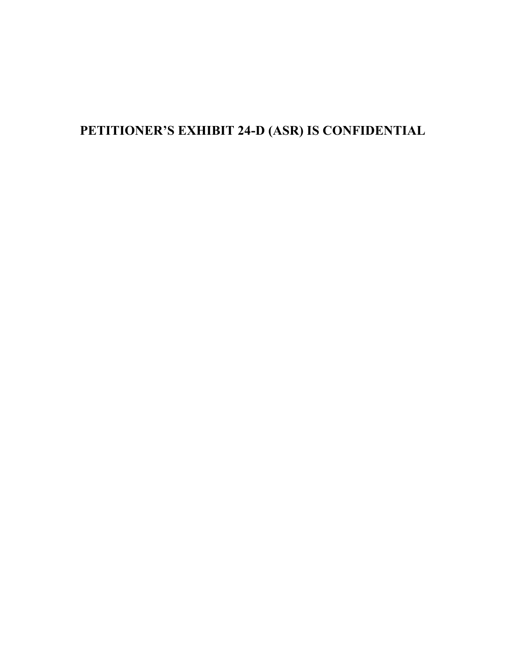# **PETITIONER'S EXHIBIT 24-D (ASR) IS CONFIDENTIAL**